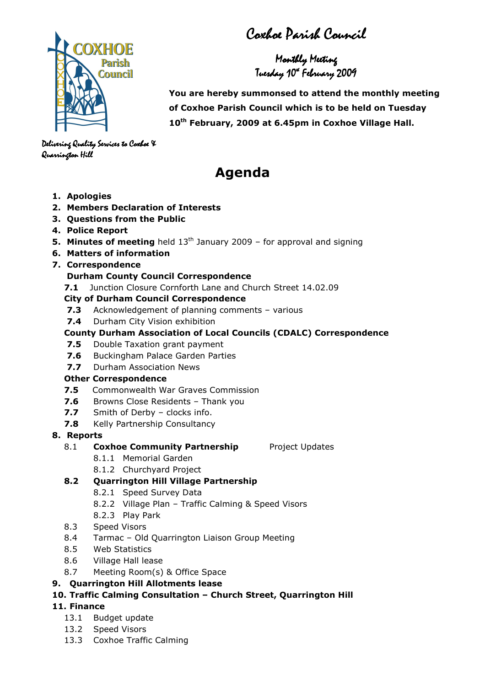Coxhoe Parish Council

Monthly Meeting Tuesday 10<sup>4</sup> February 2009



 You are hereby summonsed to attend the monthly meeting of Coxhoe Parish Council which is to be held on Tuesday 10<sup>th</sup> February, 2009 at 6.45pm in Coxhoe Village Hall.

Delivering Quality Services to Coxhoe X Quarrington Hill Quarrington Hill

# Agenda

- 1. Apologies
- 2. Members Declaration of Interests
- 3. Questions from the Public
- 4. Police Report
- **5. Minutes of meeting** held  $13<sup>th</sup>$  January 2009 for approval and signing
- 6. Matters of information
- 7. Correspondence

## Durham County Council Correspondence

7.1 Junction Closure Cornforth Lane and Church Street 14.02.09

## City of Durham Council Correspondence

- 7.3 Acknowledgement of planning comments various
- 7.4 Durham City Vision exhibition

## County Durham Association of Local Councils (CDALC) Correspondence

- **7.5** Double Taxation grant payment
- 7.6 Buckingham Palace Garden Parties
- 7.7 Durham Association News

### Other Correspondence

- 7.5 Commonwealth War Graves Commission
- 7.6 Browns Close Residents Thank you
- 7.7 Smith of Derby clocks info.
- **7.8** Kelly Partnership Consultancy
- 8. Reports

## 8.1 Coxhoe Community Partnership Project Updates

- 8.1.1 Memorial Garden
- 8.1.2 Churchyard Project

# 8.2 Quarrington Hill Village Partnership

- 8.2.1 Speed Survey Data
- 8.2.2 Village Plan Traffic Calming & Speed Visors
- 8.2.3 Play Park
- 8.3 Speed Visors
- 8.4 Tarmac Old Quarrington Liaison Group Meeting
- 8.5 Web Statistics
- 8.6 Village Hall lease
- 8.7 Meeting Room(s) & Office Space

## 9. Quarrington Hill Allotments lease

# 10. Traffic Calming Consultation – Church Street, Quarrington Hill

## 11. Finance

- 13.1 Budget update
- 13.2 Speed Visors
- 13.3 Coxhoe Traffic Calming